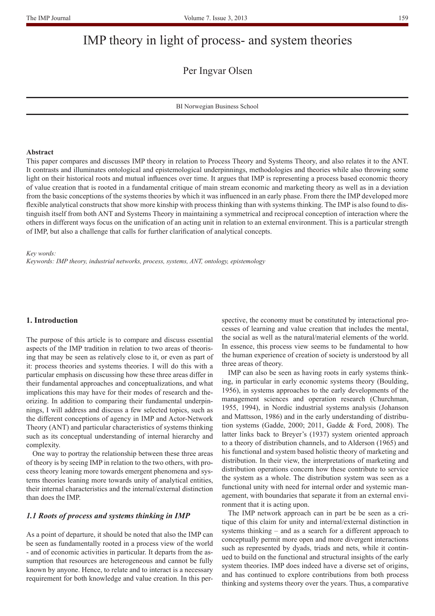# IMP theory in light of process- and system theories

Per Ingvar Olsen

BI Norwegian Business School

#### **Abstract**

This paper compares and discusses IMP theory in relation to Process Theory and Systems Theory, and also relates it to the ANT. It contrasts and illuminates ontological and epistemological underpinnings, methodologies and theories while also throwing some light on their historical roots and mutual influences over time. It argues that IMP is representing a process based economic theory of value creation that is rooted in a fundamental critique of main stream economic and marketing theory as well as in a deviation from the basic conceptions of the systems theories by which it was influenced in an early phase. From there the IMP developed more flexible analytical constructs that show more kinship with process thinking than with systems thinking. The IMP is also found to distinguish itself from both ANT and Systems Theory in maintaining a symmetrical and reciprocal conception of interaction where the others in different ways focus on the unification of an acting unit in relation to an external environment. This is a particular strength of IMP, but also a challenge that calls for further clarification of analytical concepts.

#### *Key words:*

*Keywords: IMP theory, industrial networks, process, systems, ANT, ontology, epistemology*

#### **1. Introduction**

The purpose of this article is to compare and discuss essential aspects of the IMP tradition in relation to two areas of theorising that may be seen as relatively close to it, or even as part of it: process theories and systems theories. I will do this with a particular emphasis on discussing how these three areas differ in their fundamental approaches and conceptualizations, and what implications this may have for their modes of research and theorizing. In addition to comparing their fundamental underpinnings, I will address and discuss a few selected topics, such as the different conceptions of agency in IMP and Actor-Network Theory (ANT) and particular characteristics of systems thinking such as its conceptual understanding of internal hierarchy and complexity.

One way to portray the relationship between these three areas of theory is by seeing IMP in relation to the two others, with process theory leaning more towards emergent phenomena and systems theories leaning more towards unity of analytical entities, their internal characteristics and the internal/external distinction than does the IMP.

## *1.1 Roots of process and systems thinking in IMP*

As a point of departure, it should be noted that also the IMP can be seen as fundamentally rooted in a process view of the world - and of economic activities in particular. It departs from the assumption that resources are heterogeneous and cannot be fully known by anyone. Hence, to relate and to interact is a necessary requirement for both knowledge and value creation. In this perspective, the economy must be constituted by interactional processes of learning and value creation that includes the mental, the social as well as the natural/material elements of the world. In essence, this process view seems to be fundamental to how the human experience of creation of society is understood by all three areas of theory.

IMP can also be seen as having roots in early systems thinking, in particular in early economic systems theory (Boulding, 1956), in systems approaches to the early developments of the management sciences and operation research (Churchman, 1955, 1994), in Nordic industrial systems analysis (Johanson and Mattsson, 1986) and in the early understanding of distribution systems (Gadde, 2000; 2011, Gadde & Ford, 2008). The latter links back to Breyer's (1937) system oriented approach to a theory of distribution channels, and to Alderson (1965) and his functional and system based holistic theory of marketing and distribution. In their view, the interpretations of marketing and distribution operations concern how these contribute to service the system as a whole. The distribution system was seen as a functional unity with need for internal order and systemic management, with boundaries that separate it from an external environment that it is acting upon.

The IMP network approach can in part be be seen as a critique of this claim for unity and internal/external distinction in systems thinking – and as a search for a different approach to conceptually permit more open and more divergent interactions such as represented by dyads, triads and nets, while it continued to build on the functional and structural insights of the early system theories. IMP does indeed have a diverse set of origins, and has continued to explore contributions from both process thinking and systems theory over the years. Thus, a comparative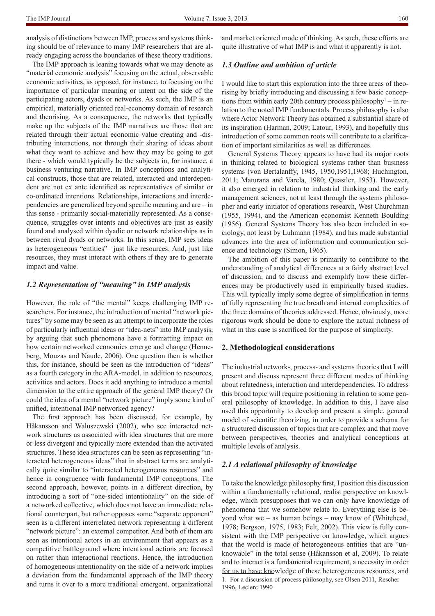The IMP approach is leaning towards what we may denote as "material economic analysis" focusing on the actual, observable economic activities, as opposed, for instance, to focusing on the importance of particular meaning or intent on the side of the participating actors, dyads or networks. As such, the IMP is an empirical, materially oriented real-economy domain of research and theorising. As a consequence, the networks that typically make up the subjects of the IMP narratives are those that are related through their actual economic value creating and -distributing interactions, not through their sharing of ideas about what they want to achieve and how they may be going to get there - which would typically be the subjects in, for instance, a business venturing narrative. In IMP conceptions and analytical constructs, those that are related, interacted and interdependent are not ex ante identified as representatives of similar or co-ordinated intentions. Relationships, interactions and interdependencies are generalized beyond specific meaning and are – in this sense - primarily social-materially represented. As a consequence, struggles over intents and objectives are just as easily found and analysed within dyadic or network relationships as in between rival dyads or networks. In this sense, IMP sees ideas as heterogeneous "entities"– just like resources. And, just like resources, they must interact with others if they are to generate impact and value.

# *1.2 Representation of "meaning" in IMP analysis*

However, the role of "the mental" keeps challenging IMP researchers. For instance, the introduction of mental "network pictures" by some may be seen as an attempt to incorporate the roles of particularly influential ideas or "idea-nets" into IMP analysis, by arguing that such phenomena have a formatting impact on how certain networked economies emerge and change (Henneberg, Mouzas and Naude, 2006). One question then is whether this, for instance, should be seen as the introduction of "ideas" as a fourth category in the ARA-model, in addition to resources, activities and actors. Does it add anything to introduce a mental dimension to the entire approach of the general IMP theory? Or could the idea of a mental "network picture" imply some kind of unified, intentional IMP networked agency?

The first approach has been discussed, for example, by Håkansson and Waluszewski (2002), who see interacted network structures as associated with idea structures that are more or less divergent and typically more extended than the activated structures. These idea structures can be seen as representing "interacted heterogeneous ideas" that in abstract terms are analytically quite similar to "interacted heterogeneous resources" and hence in congruence with fundamental IMP conceptions. The second approach, however, points in a different direction, by introducing a sort of "one-sided intentionality" on the side of a networked collective, which does not have an immediate relational counterpart, but rather opposes some "separate opponent" seen as a different interrelated network representing a different "network picture": an external competitor. And both of them are seen as intentional actors in an environment that appears as a competitive battleground where intentional actions are focused on rather than interactional reactions. Hence, the introduction of homogeneous intentionality on the side of a network implies a deviation from the fundamental approach of the IMP theory and turns it over to a more traditional emergent, organizational

and market oriented mode of thinking. As such, these efforts are quite illustrative of what IMP is and what it apparently is not.

#### *1.3 Outline and ambition of article*

I would like to start this exploration into the three areas of theorising by briefly introducing and discussing a few basic conceptions from within early 20th century process philosophy<sup>1</sup> – in relation to the noted IMP fundamentals. Process philosophy is also where Actor Network Theory has obtained a substantial share of its inspiration (Harman, 2009; Latour, 1993), and hopefully this introduction of some common roots will contribute to a clarification of important similarities as well as differences.

General Systems Theory appears to have had its major roots in thinking related to biological systems rather than business systems (von Bertalanffy, 1945, 1950,1951,1968; Huchington, 2011; Maturana and Varela, 1980; Quastler, 1953). However, it also emerged in relation to industrial thinking and the early management sciences, not at least through the systems philosopher and early initiator of operations research, West Churchman (1955, 1994), and the American economist Kenneth Boulding (1956). General Systems Theory has also been included in sociology, not least by Luhmann (1984), and has made substantial advances into the area of information and communication science and technology (Simon, 1965).

The ambition of this paper is primarily to contribute to the understanding of analytical differences at a fairly abstract level of discussion, and to discuss and exemplify how these differences may be productively used in empirically based studies. This will typically imply some degree of simplification in terms of fully representing the true breath and internal complexities of the three domains of theories addressed. Hence, obviously, more rigorous work should be done to explore the actual richness of what in this case is sacrificed for the purpose of simplicity.

#### **2. Methodological considerations**

The industrial network-, process- and systems theories that I will present and discuss represent three different modes of thinking about relatedness, interaction and interdependencies. To address this broad topic will require positioning in relation to some general philosophy of knowledge. In addition to this, I have also used this opportunity to develop and present a simple, general model of scientific theorizing, in order to provide a schema for a structured discussion of topics that are complex and that move between perspectives, theories and analytical conceptions at multiple levels of analysis.

#### *2.1 A relational philosophy of knowledge*

To take the knowledge philosophy first, I position this discussion within a fundamentally relational, realist perspective on knowledge, which presupposes that we can only have knowledge of phenomena that we somehow relate to. Everything else is beyond what we – as human beings – may know of (Whitehead, 1978; Bergson, 1975, 1983; Felt, 2002). This view is fully consistent with the IMP perspective on knowledge, which argues that the world is made of heterogeneous entities that are "unknowable" in the total sense (Håkansson et al, 2009). To relate and to interact is a fundamental requirement, a necessity in order for us to have knowledge of these heterogeneous resources, and 1. For a discussion of process philosophy, see Olsen 2011, Rescher 1996, Leclerc 1990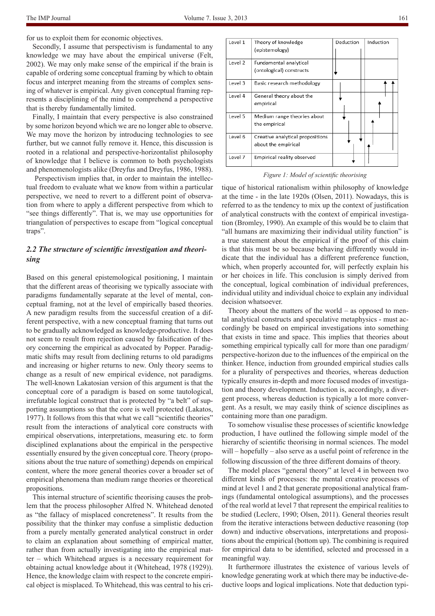for us to exploit them for economic objectives.

Secondly, I assume that perspectivism is fundamental to any knowledge we may have about the empirical universe (Felt, 2002). We may only make sense of the empirical if the brain is capable of ordering some conceptual framing by which to obtain focus and interpret meaning from the streams of complex sensing of whatever is empirical. Any given conceptual framing represents a disciplining of the mind to comprehend a perspective that is thereby fundamentally limited.

Finally, I maintain that every perspective is also constrained by some horizon beyond which we are no longer able to observe. We may move the horizon by introducing technologies to see further, but we cannot fully remove it. Hence, this discussion is rooted in a relational and perspective-horizontalist philosophy of knowledge that I believe is common to both psychologists and phenomenologists alike (Dreyfus and Dreyfus, 1986, 1988).

 Perspectivism implies that, in order to maintain the intellectual freedom to evaluate what we know from within a particular perspective, we need to revert to a different point of observation from where to apply a different perspective from which to "see things differently". That is, we may use opportunities for triangulation of perspectives to escape from "logical conceptual traps".

# *2.2 The structure of scientific investigation and theorising*

Based on this general epistemological positioning, I maintain that the different areas of theorising we typically associate with paradigms fundamentally separate at the level of mental, conceptual framing, not at the level of empirically based theories. A new paradigm results from the successful creation of a different perspective, with a new conceptual framing that turns out to be gradually acknowledged as knowledge-productive. It does not seem to result from rejection caused by falsification of theory concerning the empirical as advocated by Popper. Paradigmatic shifts may result from declining returns to old paradigms and increasing or higher returns to new. Only theory seems to change as a result of new empirical evidence, not paradigms. The well-known Lakatosian version of this argument is that the conceptual core of a paradigm is based on some tautological, irrefutable logical construct that is protected by "a belt" of supporting assumptions so that the core is well protected (Lakatos, 1977). It follows from this that what we call "scientific theories" result from the interactions of analytical core constructs with empirical observations, interpretations, measuring etc. to form disciplined explanations about the empirical in the perspective essentially ensured by the given conceptual core. Theory (propositions about the true nature of something) depends on empirical content, where the more general theories cover a broader set of empirical phenomena than medium range theories or theoretical propositions.

This internal structure of scientific theorising causes the problem that the process philosopher Alfred N. Whitehead denoted as "the fallacy of misplaced concreteness". It results from the possibility that the thinker may confuse a simplistic deduction from a purely mentally generated analytical construct in order to claim an explanation about something of empirical matter, rather than from actually investigating into the empirical matter – which Whitehead argues is a necessary requirement for obtaining actual knowledge about it (Whitehead, 1978 (1929)). Hence, the knowledge claim with respect to the concrete empirical object is misplaced. To Whitehead, this was central to his cri-

| Level 1 | Theory of knowledge<br>(epistemology)                   | Deduction | Induction |
|---------|---------------------------------------------------------|-----------|-----------|
|         |                                                         |           |           |
| Level 2 | Fundamental analytical                                  |           |           |
|         | (ontological) constructs                                |           |           |
| Level 3 | Basic research methodology                              |           |           |
| Level 4 | General theory about the<br>empirical                   |           |           |
| Level 5 | Medium range theories about<br>the empirical            |           |           |
| Level 6 | Creative analytical propositions<br>about the empirical |           |           |
| Level 7 | Empirical reality observed                              |           |           |

#### *Figure 1: Model of scientific theorising*

tique of historical rationalism within philosophy of knowledge at the time - in the late 1920s (Olsen, 2011). Nowadays, this is referred to as the tendency to mix up the context of justification of analytical constructs with the context of empirical investigation (Bromley, 1990). An example of this would be to claim that "all humans are maximizing their individual utility function" is a true statement about the empirical if the proof of this claim is that this must be so because behaving differently would indicate that the individual has a different preference function, which, when properly accounted for, will perfectly explain his or her choices in life. This conclusion is simply derived from the conceptual, logical combination of individual preferences, individual utility and individual choice to explain any individual decision whatsoever.

Theory about the matters of the world – as opposed to mental analytical constructs and speculative metaphysics - must accordingly be based on empirical investigations into something that exists in time and space. This implies that theories about something empirical typically call for more than one paradigm/ perspective-horizon due to the influences of the empirical on the thinker. Hence, induction from grounded empirical studies calls for a plurality of perspectives and theories, whereas deduction typically ensures in-depth and more focused modes of investigation and theory development. Induction is, accordingly, a divergent process, whereas deduction is typically a lot more convergent. As a result, we may easily think of science disciplines as containing more than one paradigm.

To somehow visualise these processes of scientific knowledge production, I have outlined the following simple model of the hierarchy of scientific theorising in normal sciences. The model will – hopefully – also serve as a useful point of reference in the following discussion of the three different domains of theory.

The model places "general theory" at level 4 in between two different kinds of processes: the mental creative processes of mind at level 1 and 2 that generate propositional analytical framings (fundamental ontological assumptions), and the processes of the real world at level 7 that represent the empirical realities to be studied (Leclerc, 1990; Olsen, 2011). General theories result from the iterative interactions between deductive reasoning (top down) and inductive observations, interpretations and propositions about the empirical (bottom up). The combining is required for empirical data to be identified, selected and processed in a meaningful way.

It furthermore illustrates the existence of various levels of knowledge generating work at which there may be inductive-deductive loops and logical implications. Note that deduction typi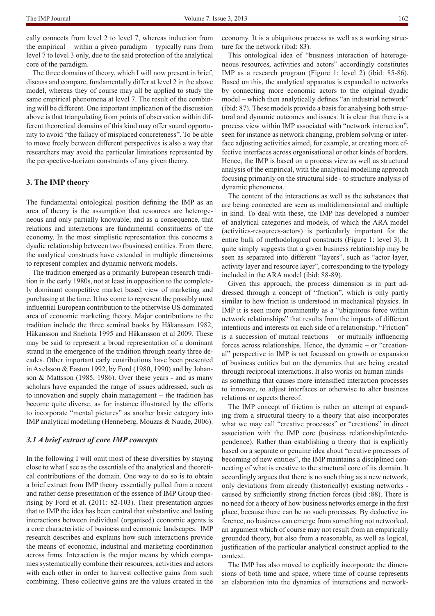cally connects from level 2 to level 7, whereas induction from the empirical – within a given paradigm – typically runs from level 7 to level 3 only, due to the said protection of the analytical core of the paradigm.

The three domains of theory, which I will now present in brief, discuss and compare, fundamentally differ at level 2 in the above model, whereas they of course may all be applied to study the same empirical phenomena at level 7. The result of the combining will be different. One important implication of the discussion above is that triangulating from points of observation within different theoretical domains of this kind may offer sound opportunity to avoid "the fallacy of misplaced concreteness". To be able to move freely between different perspectives is also a way that researchers may avoid the particular limitations represented by the perspective-horizon constraints of any given theory.

#### **3. The IMP theory**

The fundamental ontological position defining the IMP as an area of theory is the assumption that resources are heterogeneous and only partially knowable, and as a consequence, that relations and interactions are fundamental constituents of the economy. In the most simplistic representation this concerns a dyadic relationship between two (business) entities. From there, the analytical constructs have extended in multiple dimensions to represent complex and dynamic network models.

The tradition emerged as a primarily European research tradition in the early 1980s, not at least in opposition to the completely dominant competitive market based view of marketing and purchasing at the time. It has come to represent the possibly most influential European contribution to the otherwise US dominated area of economic marketing theory. Major contributions to the tradition include the three seminal books by Håkansson 1982, Håkansson and Snehota 1995 and Håkansson et al 2009. These may be said to represent a broad representation of a dominant strand in the emergence of the tradition through nearly three decades. Other important early contributions have been presented in Axelsson & Easton 1992, by Ford (1980, 1990) and by Johanson & Mattsson (1985, 1986). Over these years - and as many scholars have expanded the range of issues addressed, such as to innovation and supply chain management -- the tradition has become quite diverse, as for instance illustrated by the efforts to incorporate "mental pictures" as another basic category into IMP analytical modelling (Henneberg, Mouzas & Naude, 2006).

#### *3.1 A brief extract of core IMP concepts*

In the following I will omit most of these diversities by staying close to what I see as the essentials of the analytical and theoretical contributions of the domain. One way to do so is to obtain a brief extract from IMP theory essentially pulled from a recent and rather dense presentation of the essence of IMP Group theorising by Ford et al. (2011: 82-103). Their presentation argues that to IMP the idea has been central that substantive and lasting interactions between individual (organised) economic agents is a core characteristic of business and economic landscapes. IMP research describes and explains how such interactions provide the means of economic, industrial and marketing coordination across firms. Interaction is the major means by which companies systematically combine their resources, activities and actors with each other in order to harvest collective gains from such combining. These collective gains are the values created in the

economy. It is a ubiquitous process as well as a working structure for the network (ibid: 83).

This ontological idea of "business interaction of heterogeneous resources, activities and actors" accordingly constitutes IMP as a research program (Figure 1: level 2) (ibid: 85-86). Based on this, the analytical apparatus is expanded to networks by connecting more economic actors to the original dyadic model – which then analytically defines "an industrial network" (ibid: 87). These models provide a basis for analysing both structural and dynamic outcomes and issues. It is clear that there is a process view within IMP associated with "network interaction", seen for instance as network changing, problem solving or interface adjusting activities aimed, for example, at creating more effective interfaces across organisational or other kinds of borders. Hence, the IMP is based on a process view as well as structural analysis of the empirical, with the analytical modelling approach focusing primarily on the structural side - to structure analysis of dynamic phenomena.

The content of the interactions as well as the substances that are being connected are seen as multidimensional and multiple in kind. To deal with these, the IMP has developed a number of analytical categories and models, of which the ARA model (activities-resources-actors) is particularly important for the entire bulk of methodological constructs (Figure 1: level 3). It quite simply suggests that a given business relationship may be seen as separated into different "layers", such as "actor layer, activity layer and resource layer", corresponding to the typology included in the ARA model (ibid: 88-89).

Given this approach, the process dimension is in part addressed through a concept of "friction", which is only partly similar to how friction is understood in mechanical physics. In IMP it is seen more prominently as a "ubiquitous force within network relationships" that results from the impacts of different intentions and interests on each side of a relationship. "Friction" is a succession of mutual reactions – or mutually influencing forces across relationships. Hence, the dynamic – or "creational" perspective in IMP is not focussed on growth or expansion of business entities but on the dynamics that are being created through reciprocal interactions. It also works on human minds – as something that causes more intensified interaction processes to innovate, to adjust interfaces or otherwise to alter business relations or aspects thereof.

The IMP concept of friction is rather an attempt at expanding from a structural theory to a theory that also incorporates what we may call "creative processes" or "creations" in direct association with the IMP core (business relationship/interdependence). Rather than establishing a theory that is explicitly based on a separate or genuine idea about "creative processes of becoming of new entities", the IMP maintains a disciplined connecting of what is creative to the structural core of its domain. It accordingly argues that there is no such thing as a new network, only deviations from already (historically) existing networks caused by sufficiently strong friction forces (ibid :88). There is no need for a theory of how business networks emerge in the first place, because there can be no such processes. By deductive inference, no business can emerge from something not networked, an argument which of course may not result from an empirically grounded theory, but also from a reasonable, as well as logical, justification of the particular analytical construct applied to the context.

The IMP has also moved to explicitly incorporate the dimensions of both time and space, where time of course represents an elaboration into the dynamics of interactions and network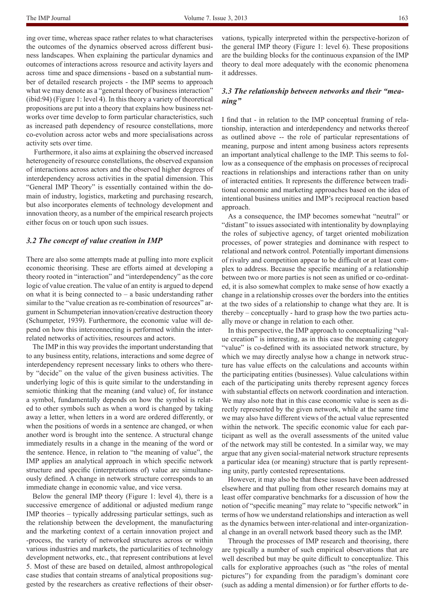ing over time, whereas space rather relates to what characterises the outcomes of the dynamics observed across different business landscapes. When explaining the particular dynamics and outcomes of interactions across resource and activity layers and across time and space dimensions - based on a substantial number of detailed research projects - the IMP seems to approach what we may denote as a "general theory of business interaction" (ibid:94) (Figure 1: level 4). In this theory a variety of theoretical propositions are put into a theory that explains how business networks over time develop to form particular characteristics, such as increased path dependency of resource constellations, more co-evolution across actor webs and more specialisations across activity sets over time.

 Furthermore, it also aims at explaining the observed increased heterogeneity of resource constellations, the observed expansion of interactions across actors and the observed higher degrees of interdependency across activities in the spatial dimension. This "General IMP Theory" is essentially contained within the domain of industry, logistics, marketing and purchasing research, but also incorporates elements of technology development and innovation theory, as a number of the empirical research projects either focus on or touch upon such issues.

#### *3.2 The concept of value creation in IMP*

There are also some attempts made at pulling into more explicit economic theorising. These are efforts aimed at developing a theory rooted in "interaction" and "interdependency" as the core logic of value creation. The value of an entity is argued to depend on what it is being connected to  $-$  a basic understanding rather similar to the "value creation as re-combination of resources" argument in Schumpeterian innovation/creative destruction theory (Schumpeter, 1939). Furthermore, the economic value will depend on how this interconnecting is performed within the interrelated networks of activities, resources and actors.

The IMP in this way provides the important understanding that to any business entity, relations, interactions and some degree of interdependency represent necessary links to others who thereby "decide" on the value of the given business activities. The underlying logic of this is quite similar to the understanding in semiotic thinking that the meaning (and value) of, for instance a symbol, fundamentally depends on how the symbol is related to other symbols such as when a word is changed by taking away a letter, when letters in a word are ordered differently, or when the positions of words in a sentence are changed, or when another word is brought into the sentence. A structural change immediately results in a change in the meaning of the word or the sentence. Hence, in relation to "the meaning of value", the IMP applies an analytical approach in which specific network structure and specific (interpretations of) value are simultaneously defined. A change in network structure corresponds to an immediate change in economic value, and vice versa.

Below the general IMP theory (Figure 1: level 4), there is a successive emergence of additional or adjusted medium range IMP theories – typically addressing particular settings, such as the relationship between the development, the manufacturing and the marketing context of a certain innovation project and -process, the variety of networked structures across or within various industries and markets, the particularities of technology development networks, etc., that represent contributions at level 5. Most of these are based on detailed, almost anthropological case studies that contain streams of analytical propositions suggested by the researchers as creative reflections of their observations, typically interpreted within the perspective-horizon of the general IMP theory (Figure 1: level 6). These propositions are the building blocks for the continuous expansion of the IMP theory to deal more adequately with the economic phenomena it addresses.

## *3.3 The relationship between networks and their "meaning"*

I find that - in relation to the IMP conceptual framing of relationship, interaction and interdependency and networks thereof as outlined above -- the role of particular representations of meaning, purpose and intent among business actors represents an important analytical challenge to the IMP. This seems to follow as a consequence of the emphasis on processes of reciprocal reactions in relationships and interactions rather than on unity of interacted entities. It represents the difference between traditional economic and marketing approaches based on the idea of intentional business unities and IMP's reciprocal reaction based approach.

As a consequence, the IMP becomes somewhat "neutral" or "distant" to issues associated with intentionality by downplaying the roles of subjective agency, of target oriented mobilization processes, of power strategies and dominance with respect to relational and network control. Potentially important dimensions of rivalry and competition appear to be difficult or at least complex to address. Because the specific meaning of a relationship between two or more parties is not seen as unified or co-ordinated, it is also somewhat complex to make sense of how exactly a change in a relationship crosses over the borders into the entities at the two sides of a relationship to change what they are. It is thereby – conceptually - hard to grasp how the two parties actually move or change in relation to each other.

In this perspective, the IMP approach to conceptualizing "value creation" is interesting, as in this case the meaning category "value" is co-defined with its associated network structure, by which we may directly analyse how a change in network structure has value effects on the calculations and accounts within the participating entities (businesses). Value calculations within each of the participating units thereby represent agency forces with substantial effects on network coordination and interaction. We may also note that in this case economic value is seen as directly represented by the given network, while at the same time we may also have different views of the actual value represented within the network. The specific economic value for each participant as well as the overall assessments of the united value of the network may still be contested. In a similar way, we may argue that any given social-material network structure represents a particular idea (or meaning) structure that is partly representing unity, partly contested representations.

However, it may also be that these issues have been addressed elsewhere and that pulling from other research domains may at least offer comparative benchmarks for a discussion of how the notion of "specific meaning" may relate to "specific network" in terms of how we understand relationships and interaction as well as the dynamics between inter-relational and inter-organizational change in an overall network based theory such as the IMP.

Through the processes of IMP research and theorising, there are typically a number of such empirical observations that are well described but may be quite difficult to conceptualize. This calls for explorative approaches (such as "the roles of mental pictures") for expanding from the paradigm's dominant core (such as adding a mental dimension) or for further efforts to de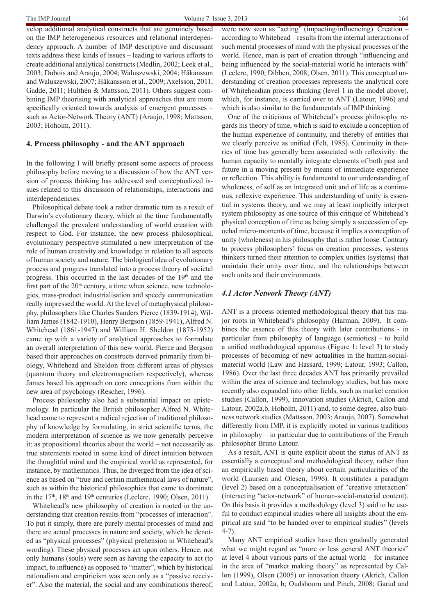velop additional analytical constructs that are genuinely based on the IMP heterogeneous resources and relational interdependency approach. A number of IMP descriptive and discussant texts address these kinds of issues – leading to various efforts to create additional analytical constructs (Medlin, 2002; Leek et al., 2003; Dubois and Araujo, 2004; Waluszewski, 2004; Håkansson and Waluszewski, 2007; Håkansson et al., 2009; Axelsson, 2011, Gadde, 2011; Hulthén & Mattsson, 2011). Others suggest combining IMP theorising with analytical approaches that are more specifically oriented towards analysis of emergent processes – such as Actor-Network Theory (ANT) (Araujo, 1998; Mattsson, 2003; Hoholm, 2011).

## **4. Process philosophy - and the ANT approach**

In the following I will briefly present some aspects of process philosophy before moving to a discussion of how the ANT version of process thinking has addressed and conceptualized issues related to this discussion of relationships, interactions and interdependencies.

Philosophical debate took a rather dramatic turn as a result of Darwin's evolutionary theory, which at the time fundamentally challenged the prevalent understanding of world creation with respect to God. For instance, the new process philosophical, evolutionary perspective stimulated a new interpretation of the role of human creativity and knowledge in relation to all aspects of human society and nature. The biological idea of evolutionary process and progress translated into a process theory of societal progress. This occurred in the last decades of the 19<sup>th</sup> and the first part of the  $20<sup>th</sup>$  century, a time when science, new technologies, mass-product industrialisation and speedy communication really impressed the world. At the level of metaphysical philosophy, philosophers like Charles Sanders Pierce (1839-1914), William James (1842-1910), Henry Bergson (1859-1941), Alfred N. Whitehead (1861-1947) and William H. Sheldon (1875-1952) came up with a variety of analytical approaches to formulate an overall interpretation of this new world. Pierce and Bergson based their approaches on constructs derived primarily from biology, Whitehead and Sheldon from different areas of physics (quantum theory and electromagnetism respectively), whereas James based his approach on core conceptions from within the new area of psychology (Rescher, 1996).

Process philosophy also had a substantial impact on epistemology. In particular the British philosopher Alfred N. Whitehead came to represent a radical rejection of traditional philosophy of knowledge by formulating, in strict scientific terms, the modern interpretation of science as we now generally perceive it: as propositional theories about the world – not necessarily as true statements rooted in some kind of direct intuition between the thoughtful mind and the empirical world as represented, for instance, by mathematics. Thus, he diverged from the idea of science as based on "true and certain mathematical laws of nature", such as within the historical philosophies that came to dominate in the  $17<sup>th</sup>$ ,  $18<sup>th</sup>$  and  $19<sup>th</sup>$  centuries (Leclerc, 1990; Olsen, 2011).

Whitehead's new philosophy of creation is rooted in the understanding that creation results from "processes of interaction". To put it simply, there are purely mental processes of mind and there are actual processes in nature and society, which he denoted as "physical processes" (physical prehension in Whitehead's wording). These physical processes act upon others. Hence, not only humans (souls) were seen as having the capacity to act (to impact, to influence) as opposed to "matter", which by historical rationalism and empiricism was seen only as a "passive receiver". Also the material, the social and any combinations thereof,

were now seen as "acting" (impacting/influencing). Creation according to Whitehead – results from the internal interactions of such mental processes of mind with the physical processes of the world. Hence, man is part of creation through "influencing and being influenced by the social-material world he interacts with" (Leclerc, 1990; Dibben, 2008; Olsen, 2011). This conceptual understanding of creation processes represents the analytical core of Whiteheadian process thinking (level 1 in the model above), which, for instance, is carried over to ANT (Latour, 1996) and which is also similar to the fundamentals of IMP thinking.

One of the criticisms of Whitehead's process philosophy regards his theory of time, which is said to exclude a conception of the human experience of continuity, and thereby of entities that we clearly perceive as unified (Felt, 1985). Continuity in theories of time has generally been associated with reflexivity: the human capacity to mentally integrate elements of both past and future in a moving present by means of immediate experience or reflection. This ability is fundamental to our understanding of wholeness, of self as an integrated unit and of life as a continuous, reflexive experience. This understanding of unity is essential in systems theory, and we may at least implicitly interpret system philosophy as one source of this critique of Whitehead's physical conception of time as being simply a succession of epochal micro-moments of time, because it implies a conception of unity (wholeness) in his philosophy that is rather loose. Contrary to process philosophers' focus on creation processes, systems thinkers turned their attention to complex unities (systems) that maintain their unity over time, and the relationships between such units and their environments.

#### *4.1 Actor Network Theory (ANT)*

ANT is a process oriented methodological theory that has major roots in Whitehead's philosophy (Harman, 2009). It combines the essence of this theory with later contributions - in particular from philosophy of language (semiotics) - to build a unified methodological apparatus (Figure 1: level 3) to study processes of becoming of new actualities in the human-socialmaterial world (Law and Hassard, 1999; Latour, 1993; Callon, 1986). Over the last three decades ANT has primarily prevailed within the area of science and technology studies, but has more recently also expanded into other fields, such as market creation studies (Callon, 1999), innovation studies (Akrich, Callon and Latour, 2002a,b, Hoholm, 2011) and, to some degree, also business network studies (Mattsson, 2003; Araujo, 2007). Somewhat differently from IMP, it is explicitly rooted in various traditions in philosophy – in particular due to contributions of the French philosopher Bruno Latour.

As a result, ANT is quite explicit about the status of ANT as essentially a conceptual and methodological theory, rather than an empirically based theory about certain particularities of the world (Laursen and Olesen, 1996). It constitutes a paradigm (level 2) based on a conceptualisation of "creative interaction" (interacting "actor-network" of human-social-material content). On this basis it provides a methodology (level 3) said to be useful to conduct empirical studies where all insights about the empirical are said "to be handed over to empirical studies" (levels 4-7).

Many ANT empirical studies have then gradually generated what we might regard as "more or less general ANT theories" at level 4 about various parts of the actual world – for instance in the area of "market making theory" as represented by Callon (1999), Olsen (2005) or innovation theory (Akrich, Callon and Latour, 2002a, b; Oudshoorn and Pinch, 2008; Garud and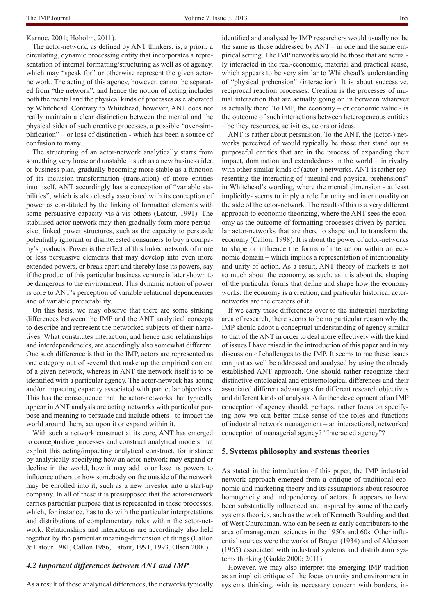## Karnøe, 2001; Hoholm, 2011).

The actor-network, as defined by ANT thinkers, is, a priori, a circulating, dynamic processing entity that incorporates a representation of internal formatting/structuring as well as of agency, which may "speak for" or otherwise represent the given actornetwork. The acting of this agency, however, cannot be separated from "the network", and hence the notion of acting includes both the mental and the physical kinds of processes as elaborated by Whitehead. Contrary to Whitehead, however, ANT does not really maintain a clear distinction between the mental and the physical sides of such creative processes, a possible "over-simplification" – or loss of distinction - which has been a source of confusion to many.

The structuring of an actor-network analytically starts from something very loose and unstable – such as a new business idea or business plan, gradually becoming more stable as a function of its inclusion-transformation (translation) of more entities into itself. ANT accordingly has a conception of "variable stabilities", which is also closely associated with its conception of power as constituted by the linking of formatted elements with some persuasive capacity vis-á-vis others (Latour, 1991). The stabilised actor-network may then gradually form more persuasive, linked power structures, such as the capacity to persuade potentially ignorant or disinterested consumers to buy a company's products. Power is the effect of this linked network of more or less persuasive elements that may develop into even more extended powers, or break apart and thereby lose its powers, say if the product of this particular business venture is later shown to be dangerous to the environment. This dynamic notion of power is core to ANT's perception of variable relational dependencies and of variable predictability.

On this basis, we may observe that there are some striking differences between the IMP and the ANT analytical concepts to describe and represent the networked subjects of their narratives. What constitutes interaction, and hence also relationships and interdependencies, are accordingly also somewhat different. One such difference is that in the IMP, actors are represented as one category out of several that make up the empirical content of a given network, whereas in ANT the network itself is to be identified with a particular agency. The actor-network has acting and/or impacting capacity associated with particular objectives. This has the consequence that the actor-networks that typically appear in ANT analysis are acting networks with particular purpose and meaning to persuade and include others - to impact the world around them, act upon it or expand within it.

With such a network construct at its core, ANT has emerged to conceptualize processes and construct analytical models that exploit this acting/impacting analytical construct, for instance by analytically specifying how an actor-network may expand or decline in the world, how it may add to or lose its powers to influence others or how somebody on the outside of the network may be enrolled into it, such as a new investor into a start-up company. In all of these it is presupposed that the actor-network carries particular purpose that is represented in these processes, which, for instance, has to do with the particular interpretations and distributions of complementary roles within the actor-network. Relationships and interactions are accordingly also held together by the particular meaning-dimension of things (Callon & Latour 1981, Callon 1986, Latour, 1991, 1993, Olsen 2000).

#### *4.2 Important differences between ANT and IMP*

As a result of these analytical differences, the networks typically

identified and analysed by IMP researchers would usually not be the same as those addressed by ANT – in one and the same empirical setting. The IMP networks would be those that are actually interacted in the real-economic, material and practical sense, which appears to be very similar to Whitehead's understanding of "physical prehension" (interaction). It is about successive, reciprocal reaction processes. Creation is the processes of mutual interaction that are actually going on in between whatever is actually there. To IMP, the economy – or economic value - is the outcome of such interactions between heterogeneous entities – be they resources, activities, actors or ideas.

ANT is rather about persuasion. To the ANT, the (actor-) networks perceived of would typically be those that stand out as purposeful entities that are in the process of expanding their impact, domination and extendedness in the world – in rivalry with other similar kinds of (actor-) networks. ANT is rather representing the interacting of "mental and physical prehensions" in Whitehead's wording, where the mental dimension - at least implicitly- seems to imply a role for unity and intentionality on the side of the actor-network. The result of this is a very different approach to economic theorizing, where the ANT sees the economy as the outcome of formatting processes driven by particular actor-networks that are there to shape and to transform the economy (Callon, 1998). It is about the power of actor-networks to shape or influence the forms of interaction within an economic domain – which implies a representation of intentionality and unity of action. As a result, ANT theory of markets is not so much about the economy, as such, as it is about the shaping of the particular forms that define and shape how the economy works: the economy is a creation, and particular historical actornetworks are the creators of it.

If we carry these differences over to the industrial marketing area of research, there seems to be no particular reason why the IMP should adopt a conceptual understanding of agency similar to that of the ANT in order to deal more effectively with the kind of issues I have raised in the introduction of this paper and in my discussion of challenges to the IMP. It seems to me these issues can just as well be addressed and analysed by using the already established ANT approach. One should rather recognize their distinctive ontological and epistemological differences and their associated different advantages for different research objectives and different kinds of analysis. A further development of an IMP conception of agency should, perhaps, rather focus on specifying how we can better make sense of the roles and functions of industrial network management – an interactional, networked conception of managerial agency? "Interacted agency"?

#### **5. Systems philosophy and systems theories**

As stated in the introduction of this paper, the IMP industrial network approach emerged from a critique of traditional economic and marketing theory and its assumptions about resource homogeneity and independency of actors. It appears to have been substantially influenced and inspired by some of the early systems theories, such as the work of Kenneth Boulding and that of West Churchman, who can be seen as early contributors to the area of management sciences in the 1950s and 60s. Other influential sources were the works of Breyer (1934) and of Alderson (1965) associated with industrial systems and distribution systems thinking (Gadde 2000; 2011).

However, we may also interpret the emerging IMP tradition as an implicit critique of the focus on unity and environment in systems thinking, with its necessary concern with borders, in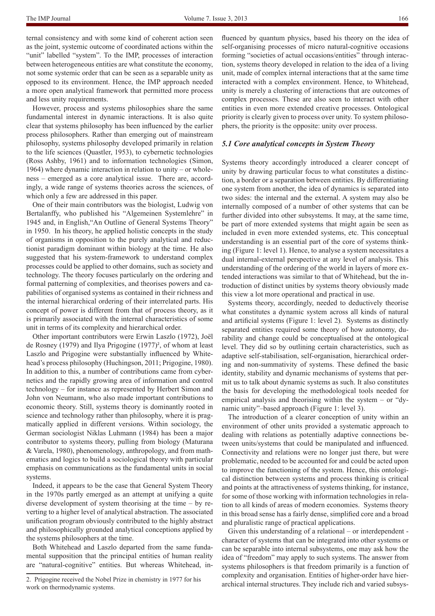ternal consistency and with some kind of coherent action seen as the joint, systemic outcome of coordinated actions within the "unit" labelled "system". To the IMP, processes of interaction between heterogeneous entities are what constitute the economy, not some systemic order that can be seen as a separable unity as opposed to its environment. Hence, the IMP approach needed a more open analytical framework that permitted more process and less unity requirements.

However, process and systems philosophies share the same fundamental interest in dynamic interactions. It is also quite clear that systems philosophy has been influenced by the earlier process philosophers. Rather than emerging out of mainstream philosophy, systems philosophy developed primarily in relation to the life sciences (Quastler, 1953), to cybernetic technologies (Ross Ashby, 1961) and to information technologies (Simon, 1964) where dynamic interaction in relation to unity – or wholeness – emerged as a core analytical issue. There are, accordingly, a wide range of systems theories across the sciences, of which only a few are addressed in this paper.

One of their main contributors was the biologist, Ludwig von Bertalanffy, who published his "Algemeinen Systemlehre" in 1945 and, in English,"An Outline of General Systems Theory" in 1950. In his theory, he applied holistic concepts in the study of organisms in opposition to the purely analytical and reductionist paradigm dominant within biology at the time. He also suggested that his system-framework to understand complex processes could be applied to other domains, such as society and technology. The theory focuses particularly on the ordering and formal patterning of complexities, and theorises powers and capabilities of organised systems as contained in their richness and the internal hierarchical ordering of their interrelated parts. His concept of power is different from that of process theory, as it is primarily associated with the internal characteristics of some unit in terms of its complexity and hierarchical order.

Other important contributors were Erwin Laszlo (1972), Joël de Rosney (1979) and Ilya Prigogine  $(1977)^2$ , of whom at least Laszlo and Prigogine were substantially influenced by Whitehead's process philosophy (Huchingson, 2011; Prigogine, 1980). In addition to this, a number of contributions came from cybernetics and the rapidly growing area of information and control technology – for instance as represented by Herbert Simon and John von Neumann, who also made important contributions to economic theory. Still, systems theory is dominantly rooted in science and technology rather than philosophy, where it is pragmatically applied in different versions. Within sociology, the German sociologist Niklas Luhmann (1984) has been a major contributor to systems theory, pulling from biology (Maturana & Varela, 1980), phenomenology, anthropology, and from mathematics and logics to build a sociological theory with particular emphasis on communications as the fundamental units in social systems.

Indeed, it appears to be the case that General System Theory in the 1970s partly emerged as an attempt at unifying a quite diverse development of system theorising at the time – by reverting to a higher level of analytical abstraction. The associated unification program obviously contributed to the highly abstract and philosophically grounded analytical conceptions applied by the systems philosophers at the time.

Both Whitehead and Laszlo departed from the same fundamental supposition that the principal entities of human reality are "natural-cognitive" entities. But whereas Whitehead, in-

fluenced by quantum physics, based his theory on the idea of self-organising processes of micro natural-cognitive occasions forming "societies of actual occasions/entities" through interaction, systems theory developed in relation to the idea of a living unit, made of complex internal interactions that at the same time interacted with a complex environment. Hence, to Whitehead, unity is merely a clustering of interactions that are outcomes of complex processes. These are also seen to interact with other entities in even more extended creative processes. Ontological priority is clearly given to process over unity. To system philosophers, the priority is the opposite: unity over process.

#### *5.1 Core analytical concepts in System Theory*

Systems theory accordingly introduced a clearer concept of unity by drawing particular focus to what constitutes a distinction, a border or a separation between entities. By differentiating one system from another, the idea of dynamics is separated into two sides: the internal and the external. A system may also be internally composed of a number of other systems that can be further divided into other subsystems. It may, at the same time, be part of more extended systems that might again be seen as included in even more extended systems, etc. This conceptual understanding is an essential part of the core of systems thinking (Figure 1: level 1). Hence, to analyse a system necessitates a dual internal-external perspective at any level of analysis. This understanding of the ordering of the world in layers of more extended interactions was similar to that of Whitehead, but the introduction of distinct unities by systems theory obviously made this view a lot more operational and practical in use.

Systems theory, accordingly, needed to deductively theorise what constitutes a dynamic system across all kinds of natural and artificial systems (Figure 1: level 2). Systems as distinctly separated entities required some theory of how autonomy, durability and change could be conceptualised at the ontological level. They did so by outlining certain characteristics, such as adaptive self-stabilisation, self-organisation, hierarchical ordering and non-summativity of systems. These defined the basic identity, stability and dynamic mechanisms of systems that permit us to talk about dynamic systems as such. It also constitutes the basis for developing the methodological tools needed for empirical analysis and theorising within the system – or "dynamic unity"–based approach (Figure 1: level 3).

The introduction of a clearer conception of unity within an environment of other units provided a systematic approach to dealing with relations as potentially adaptive connections between units/systems that could be manipulated and influenced. Connectivity and relations were no longer just there, but were problematic, needed to be accounted for and could be acted upon to improve the functioning of the system. Hence, this ontological distinction between systems and process thinking is critical and points at the attractiveness of systems thinking, for instance, for some of those working with information technologies in relation to all kinds of areas of modern economies. Systems theory in this broad sense has a fairly dense, simplified core and a broad and pluralistic range of practical applications.

Given this understanding of a relational – or interdependent character of systems that can be integrated into other systems or can be separable into internal subsystems, one may ask how the idea of "freedom" may apply to such systems. The answer from systems philosophers is that freedom primarily is a function of complexity and organisation. Entities of higher-order have hierarchical internal structures. They include rich and varied subsys-

<sup>2.</sup> Prigogine received the Nobel Prize in chemistry in 1977 for his work on thermodynamic systems.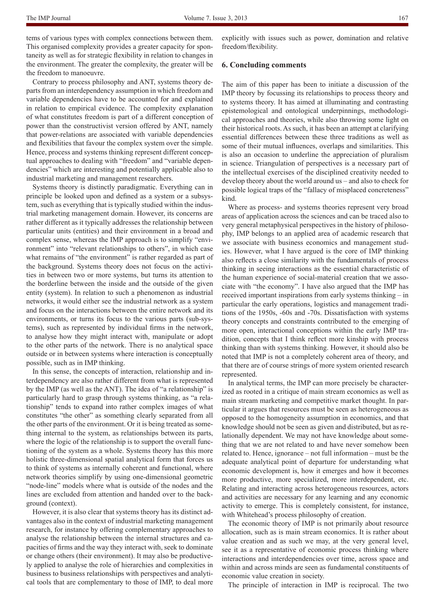tems of various types with complex connections between them. This organised complexity provides a greater capacity for spontaneity as well as for strategic flexibility in relation to changes in the environment. The greater the complexity, the greater will be the freedom to manoeuvre.

Contrary to process philosophy and ANT, systems theory departs from an interdependency assumption in which freedom and variable dependencies have to be accounted for and explained in relation to empirical evidence. The complexity explanation of what constitutes freedom is part of a different conception of power than the constructivist version offered by ANT, namely that power-relations are associated with variable dependencies and flexibilities that favour the complex system over the simple. Hence, process and systems thinking represent different conceptual approaches to dealing with "freedom" and "variable dependencies" which are interesting and potentially applicable also to industrial marketing and management researchers.

Systems theory is distinctly paradigmatic. Everything can in principle be looked upon and defined as a system or a subsystem, such as everything that is typically studied within the industrial marketing management domain. However, its concerns are rather different as it typically addresses the relationship between particular units (entities) and their environment in a broad and complex sense, whereas the IMP approach is to simplify "environment" into "relevant relationships to others", in which case what remains of "the environment" is rather regarded as part of the background. Systems theory does not focus on the activities in between two or more systems, but turns its attention to the borderline between the inside and the outside of the given entity (system). In relation to such a phenomenon as industrial networks, it would either see the industrial network as a system and focus on the interactions between the entire network and its environments, or turns its focus to the various parts (sub-systems), such as represented by individual firms in the network, to analyse how they might interact with, manipulate or adopt to the other parts of the network. There is no analytical space outside or in between systems where interaction is conceptually possible, such as in IMP thinking.

In this sense, the concepts of interaction, relationship and interdependency are also rather different from what is represented by the IMP (as well as the ANT). The idea of "a relationship" is particularly hard to grasp through systems thinking, as "a relationship" tends to expand into rather complex images of what constitutes "the other" as something clearly separated from all the other parts of the environment. Or it is being treated as something internal to the system, as relationships between its parts, where the logic of the relationship is to support the overall functioning of the system as a whole. Systems theory has this more holistic three-dimensional spatial analytical form that forces us to think of systems as internally coherent and functional, where network theories simplify by using one-dimensional geometric "node-line" models where what is outside of the nodes and the lines are excluded from attention and handed over to the background (context).

However, it is also clear that systems theory has its distinct advantages also in the context of industrial marketing management research, for instance by offering complementary approaches to analyse the relationship between the internal structures and capacities of firms and the way they interact with, seek to dominate or change others (their environment). It may also be productively applied to analyse the role of hierarchies and complexities in business to business relationships with perspectives and analytical tools that are complementary to those of IMP, to deal more

explicitly with issues such as power, domination and relative freedom/flexibility.

#### **6. Concluding comments**

The aim of this paper has been to initiate a discussion of the IMP theory by focussing its relationships to process theory and to systems theory. It has aimed at illuminating and contrasting epistemological and ontological underpinnings, methodological approaches and theories, while also throwing some light on their historical roots. As such, it has been an attempt at clarifying essential differences between these three traditions as well as some of their mutual influences, overlaps and similarities. This is also an occasion to underline the appreciation of pluralism in science. Triangulation of perspectives is a necessary part of the intellectual exercises of the disciplined creativity needed to develop theory about the world around us – and also to check for possible logical traps of the "fallacy of misplaced concreteness" kind.

Where as process- and systems theories represent very broad areas of application across the sciences and can be traced also to very general metaphysical perspectives in the history of philosophy, IMP belongs to an applied area of academic research that we associate with business economics and management studies. However, what I have argued is the core of IMP thinking also reflects a close similarity with the fundamentals of process thinking in seeing interactions as the essential characteristic of the human experience of social-material creation that we associate with "the economy". I have also argued that the IMP has received important inspirations from early systems thinking – in particular the early operations, logistics and management traditions of the 1950s, -60s and -70s. Dissatisfaction with systems theory concepts and constraints contributed to the emerging of more open, interactional conceptions within the early IMP tradition, concepts that I think reflect more kinship with process thinking than with systems thinking. However, it should also be noted that IMP is not a completely coherent area of theory, and that there are of course strings of more system oriented research represented.

In analytical terms, the IMP can more precisely be characterized as rooted in a critique of main stream economics as well as main stream marketing and competitive market thought. In particular it argues that resources must be seen as heterogeneous as opposed to the homogeneity assumption in economics, and that knowledge should not be seen as given and distributed, but as relationally dependent. We may not have knowledge about something that we are not related to and have never somehow been related to. Hence, ignorance – not full information – must be the adequate analytical point of departure for understanding what economic development is, how it emerges and how it becomes more productive, more specialized, more interdependent, etc. Relating and interacting across heterogeneous resources, actors and activities are necessary for any learning and any economic activity to emerge. This is completely consistent, for instance, with Whitehead's process philosophy of creation.

The economic theory of IMP is not primarily about resource allocation, such as is main stream economics. It is rather about value creation and as such we may, at the very general level, see it as a representative of economic process thinking where interactions and interdependencies over time, across space and within and across minds are seen as fundamental constituents of economic value creation in society.

The principle of interaction in IMP is reciprocal. The two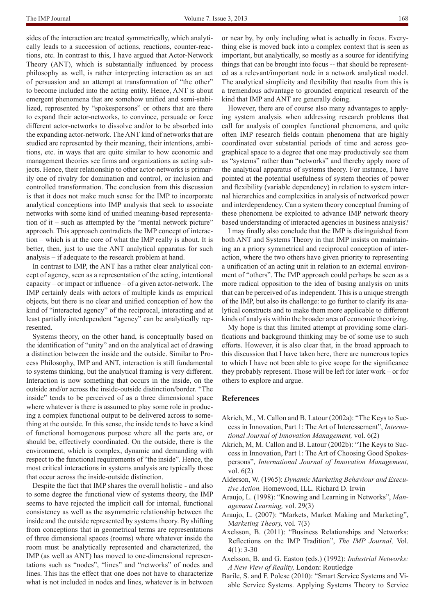sides of the interaction are treated symmetrically, which analytically leads to a succession of actions, reactions, counter-reactions, etc. In contrast to this, I have argued that Actor-Network Theory (ANT), which is substantially influenced by process philosophy as well, is rather interpreting interaction as an act of persuasion and an attempt at transformation of "the other" to become included into the acting entity. Hence, ANT is about emergent phenomena that are somehow unified and semi-stabilized, represented by "spokespersons" or others that are there to expand their actor-networks, to convince, persuade or force different actor-networks to dissolve and/or to be absorbed into the expanding actor-network. The ANT kind of networks that are studied are represented by their meaning, their intentions, ambitions, etc. in ways that are quite similar to how economic and management theories see firms and organizations as acting subjects. Hence, their relationship to other actor-networks is primarily one of rivalry for domination and control, or inclusion and controlled transformation. The conclusion from this discussion is that it does not make much sense for the IMP to incorporate analytical conceptions into IMP analysis that seek to associate networks with some kind of unified meaning-based representation of it – such as attempted by the "mental network picture" approach. This approach contradicts the IMP concept of interaction – which is at the core of what the IMP really is about. It is better, then, just to use the ANT analytical apparatus for such analysis – if adequate to the research problem at hand.

In contrast to IMP, the ANT has a rather clear analytical concept of agency, seen as a representation of the acting, intentional capacity – or impact or influence – of a given actor-network. The IMP certainly deals with actors of multiple kinds as empirical objects, but there is no clear and unified conception of how the kind of "interacted agency" of the reciprocal, interacting and at least partially interdependent "agency" can be analytically represented.

Systems theory, on the other hand, is conceptually based on the identification of "unity" and on the analytical act of drawing a distinction between the inside and the outside. Similar to Process Philosophy, IMP and ANT, interaction is still fundamental to systems thinking, but the analytical framing is very different. Interaction is now something that occurs in the inside, on the outside and/or across the inside-outside distinction/border. "The inside" tends to be perceived of as a three dimensional space where whatever is there is assumed to play some role in producing a complex functional output to be delivered across to something at the outside. In this sense, the inside tends to have a kind of functional homogenous purpose where all the parts are, or should be, effectively coordinated. On the outside, there is the environment, which is complex, dynamic and demanding with respect to the functional requirements of "the inside". Hence, the most critical interactions in systems analysis are typically those that occur across the inside-outside distinction.

Despite the fact that IMP shares the overall holistic - and also to some degree the functional view of systems theory, the IMP seems to have rejected the implicit call for internal, functional consistency as well as the asymmetric relationship between the inside and the outside represented by systems theory. By shifting from conceptions that in geometrical terms are representations of three dimensional spaces (rooms) where whatever inside the room must be analytically represented and characterized, the IMP (as well as ANT) has moved to one-dimensional representations such as "nodes", "lines" and "networks" of nodes and lines. This has the effect that one does not have to characterize what is not included in nodes and lines, whatever is in between

or near by, by only including what is actually in focus. Everything else is moved back into a complex context that is seen as important, but analytically, so mostly as a source for identifying things that can be brought into focus -- that should be represented as a relevant/important node in a network analytical model. The analytical simplicity and flexibility that results from this is a tremendous advantage to grounded empirical research of the kind that IMP and ANT are generally doing.

However, there are of course also many advantages to applying system analysis when addressing research problems that call for analysis of complex functional phenomena, and quite often IMP research fields contain phenomena that are highly coordinated over substantial periods of time and across geographical space to a degree that one may productively see them as "systems" rather than "networks" and thereby apply more of the analytical apparatus of systems theory. For instance, I have pointed at the potential usefulness of system theories of power and flexibility (variable dependency) in relation to system internal hierarchies and complexities in analysis of networked power and interdependency. Can a system theory conceptual framing of these phenomena be exploited to advance IMP network theory based understanding of interacted agencies in business analysis?

I may finally also conclude that the IMP is distinguished from both ANT and Systems Theory in that IMP insists on maintaining an a priory symmetrical and reciprocal conception of interaction, where the two others have given priority to representing a unification of an acting unit in relation to an external environment of "others". The IMP approach could perhaps be seen as a more radical opposition to the idea of basing analysis on units that can be perceived of as independent. This is a unique strength of the IMP, but also its challenge: to go further to clarify its analytical constructs and to make them more applicable to different kinds of analysis within the broader area of economic theorizing.

My hope is that this limited attempt at providing some clarifications and background thinking may be of some use to such efforts. However, it is also clear that, in the broad approach to this discussion that I have taken here, there are numerous topics to which I have not been able to give scope for the significance they probably represent. Those will be left for later work – or for others to explore and argue.

#### **References**

- Akrich, M., M. Callon and B. Latour (2002a): "The Keys to Success in Innovation, Part 1: The Art of Interessement", *International Journal of Innovation Management,* vol. 6(2)
- Akrich, M, M. Callon and B. Latour (2002b): "The Keys to Success in Innovation, Part 1: The Art of Choosing Good Spokespersons", *International Journal of Innovation Management,*  vol. 6(2)
- Alderson, W. (1965): *Dynamic Marketing Behaviour and Executive Action.* Homewood, ILL. Richard D. Irwin
- Araujo, L. (1998): "Knowing and Learning in Networks", *Management Learning,* vol. 29(3)
- Araujo, L. (2007): "Markets, Market Making and Marketing", M*arketing Theory,* vol. 7(3)
- Axelsson, B. (2011): "Business Relationships and Networks: Reflections on the IMP Tradition", *The IMP Journal,* Vol. 4(1): 3-30
- Axelsson, B. and G. Easton (eds.) (1992): *Industrial Networks: A New View of Reality,* London: Routledge
- Barile, S. and F. Polese (2010): "Smart Service Systems and Viable Service Systems. Applying Systems Theory to Service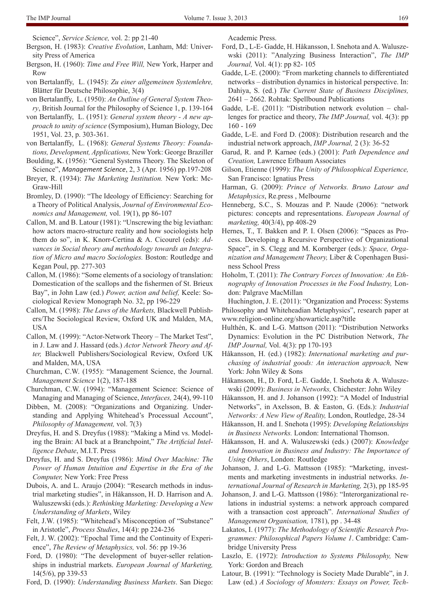- Science", *Service Science,* vol. 2: pp 21-40
- Bergson, H. (1983): *Creative Evolution*, Lanham, Md: University Press of America
- Bergson, H. (1960): *Time and Free Will,* New York, Harper and Row
- von Bertalanffy, L. (1945): *Zu einer allgemeinen Systemlehre,* Blätter für Deutsche Philosophie, 3(4)
- von Bertalanffy, L. (1950): *An Outline of General System Theory*, British Journal for the Philosophy of Science 1, p. 139-164
- von Bertalanffy, L. (1951): *General system theory A new approach to unity of science* (Symposium), Human Biology, Dec 1951, Vol. 23, p. 303-361.
- von Bertalanffy, L. (1968): *General Systems Theory: Foundations, Development, Applications,* New York: George Braziller
- Boulding, K. (1956): "General Systems Theory. The Skeleton of Science", *Management Science*, 2, 3 (Apr. 1956) pp.197-208
- Breyer, R. (1934): *The Marketing Institution.* New York: Mc-Graw-Hill
- Bromley, D. (1990): "The Ideology of Efficiency: Searching for a Theory of Political Analysis, *Journal of Environmental Economics and Management,* vol. 19(1), pp 86-107
- Callon, M. and B. Latour (1981): "Unscrewing the big leviathan: how actors macro-structure reality and how sociologists help them do so", in K. Knorr-Certina & A. Cicourel (eds): *Advances in Social theory and methodology towards an Integration of Micro and macro Sociologies.* Boston: Routledge and Kegan Poul, pp. 277-303
- Callon, M. (1986): "Some elements of a sociology of translation: Domestication of the scallops and the fishermen of St. Brieux Bay", in John Law (ed.) *Power, action and belief,* Keele: Sociological Review Monograph No. 32, pp 196-229
- Callon, M. (1998): *The Laws of the Markets,* Blackwell Publishers/The Sociological Review, Oxford UK and Malden, MA, USA
- Callon, M. (1999): "Actor-Network Theory The Market Test", in J. Law and J. Hassard (eds.) *Actor Network Theory and After,* Blackwell Publishers/Sociological Review, Oxford UK and Malden, MA, USA
- Churchman, C.W. (1955): "Management Science, the Journal. *Management Science* 1(2), 187-188
- Churchman, C.W. (1994): "Management Science: Science of Managing and Managing of Science, *Interfaces,* 24(4), 99-110
- Dibben, M. (2008): "Organizations and Organizing. Understanding and Applying Whitehead's Processual Account", *Philosophy of Management,* vol. 7(3)
- Dreyfus, H. and S. Dreyfus (1988): "Making a Mind vs. Modeling the Brain: AI back at a Branchpoint," *The Artificial Intelligence Debate*, M.I.T. Press
- Dreyfus, H. and S. Dreyfus (1986): *Mind Over Machine: The Power of Human Intuition and Expertise in the Era of the Computer,* New York: Free Press
- Dubois, A. and L. Araujo (2004): "Research methods in industrial marketing studies", in Håkansson, H. D. Harrison and A. Waluszewski (eds.): *Rethinking Marketing: Developing a New Understanding of Markets*, Wiley
- Felt, J.W. (1985): "Whitehead's Misconception of "Substance" in Aristotle", *Process Studies*, 14(4): pp 224-236
- Felt, J. W. (2002): "Epochal Time and the Continuity of Experience", *The Review of Metaphysics,* vol. 56: pp 19-36
- Ford, D. (1980): "The development of buyer-seller relationships in industrial markets. *European Journal of Marketing,*  14(5/6), pp 339-53
- Ford, D. (1990): *Understanding Business Markets*. San Diego:

Academic Press.

- Ford, D., L-E- Gadde, H. Håkansson, I. Snehota and A. Waluszewski (2011): "Analyzing Business Interaction", *The IMP Journal,* Vol. 4(1): pp 82- 105
- Gadde, L-E. (2000): "From marketing channels to differentiated networks – distribution dynamics in historical perspective. In: Dahiya, S. (ed.) *The Current State of Business Disciplines,* 2641 – 2662. Rohtak: Spellbound Publications
- Gadde, L-E. (2011): "Distribution network evolution challenges for practice and theory, *The IMP Journal,* vol. 4(3): pp 160 - 169
- Gadde, L-E. and Ford D. (2008): Distribution research and the industrial network approach, *IMP Journal,* 2 (3): 36-52
- Garud, R. and P. Karnøe (eds.) (2001): *Path Dependence and Creation,* Lawrence Erlbaum Associates
- Gilson, Etienne (1999): *The Unity of Philosophical Experience,*  San Francisco: Ignatius Press
- Harman, G. (2009): *Prince of Networks. Bruno Latour and Metaphysics*, Re.press , Melbourne
- Henneberg, S.C., S. Mouzas and P. Naude (2006): "network pictures: concepts and representations. *European Journal of marketing,* 40(3/4), pp 408-29
- Hernes, T., T. Bakken and P. I. Olsen (2006): "Spaces as Process. Developing a Recursive Perspective of Organizational Space", in S. Clegg and M. Kornberger (eds.): *Space, Organization and Management Theory,* Liber & Copenhagen Business School Press
- Hoholm, T. (2011): *The Contrary Forces of Innovation: An Ethnography of Innovation Processes in the Food Industry,* London: Palgrave MacMillan

Huchington, J. E. (2011): "Organization and Process: Systems Philosophy and Whiteheadian Metaphysics", research paper at www.religion-online.org/showarticle.asp?title

- Hulthén, K. and L-G. Mattson (2011): "Distribution Networks Dynamics: Evolution in the PC Distribution Network, *The IMP Journal,* Vol. 4(3): pp 170-193
- Håkansson, H. (ed.) (1982): *International marketing and purchasing of industrial goods: An interaction approach,* New York: John Wiley & Sons
- Håkansson, H., D. Ford, L-E. Gadde, I. Snehota & A. Waluszewski (2009): *Business in Networks,* Chichester: John Wiley
- Håkansson, H. and J. Johanson (1992): "A Model of Industrial Networks", in Axelsson, B. & Easton, G. (Eds.): *Industrial Networks: A New View of Reality,* London, Routledge, 28-34
- Håkansson, H. and I. Snehota (1995): *Developing Relationships in Business Networks.* London: International Thomson.
- Håkansson, H. and A. Waluszewski (eds.) (2007): *Knowledge and Innovation in Business and Industry: The Importance of Using Others*, London: Routledge
- Johanson, J. and L-G. Mattsson (1985): "Marketing, investments and marketing investments in industrial networks. *International Journal of Research in Marketing,* 2(3), pp 185-95
- Johanson, J. and L-G. Mattsson (1986): "Interorganizational relations in industrial systems: a network approach compared with a transaction cost approach". *International Studies of Management Organisation,* 1781), pp . 34-48
- Lakatos, I. (1977): *The Methodology of Scientific Research Programmes: Philosophical Papers Volume 1*. Cambridge: Cambridge University Press
- Laszlo, E. (1972): *Introduction to Systems Philosophy,* New York: Gordon and Breach
- Latour, B. (1991): "Technology is Society Made Durable", in J. Law (ed.) *A Sociology of Monsters: Essays on Power, Tech-*